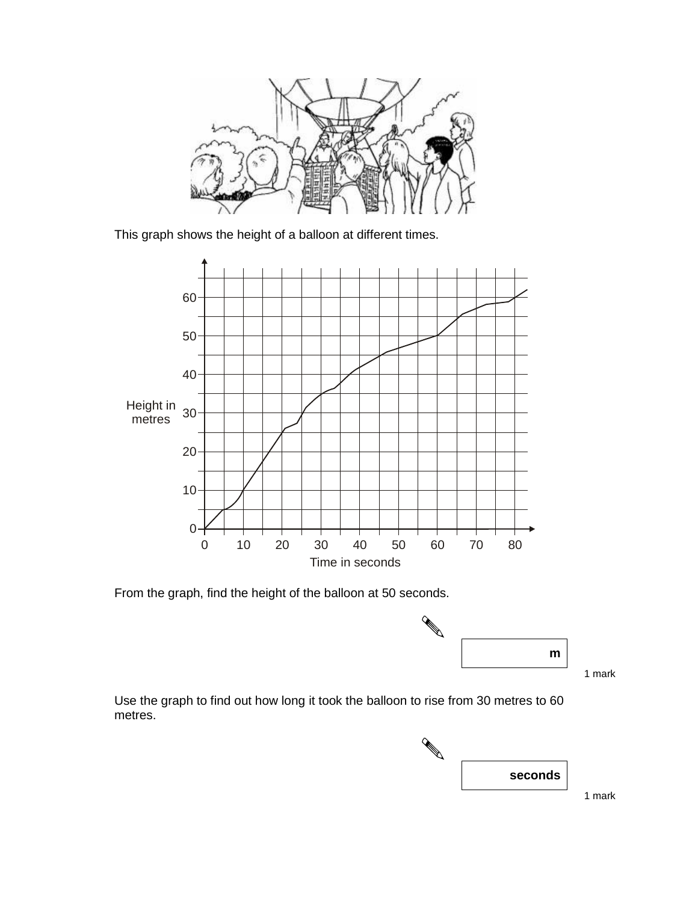

This graph shows the height of a balloon at different times.



From the graph, find the height of the balloon at 50 seconds.



1 mark

Use the graph to find out how long it took the balloon to rise from 30 metres to 60 metres.



1 mark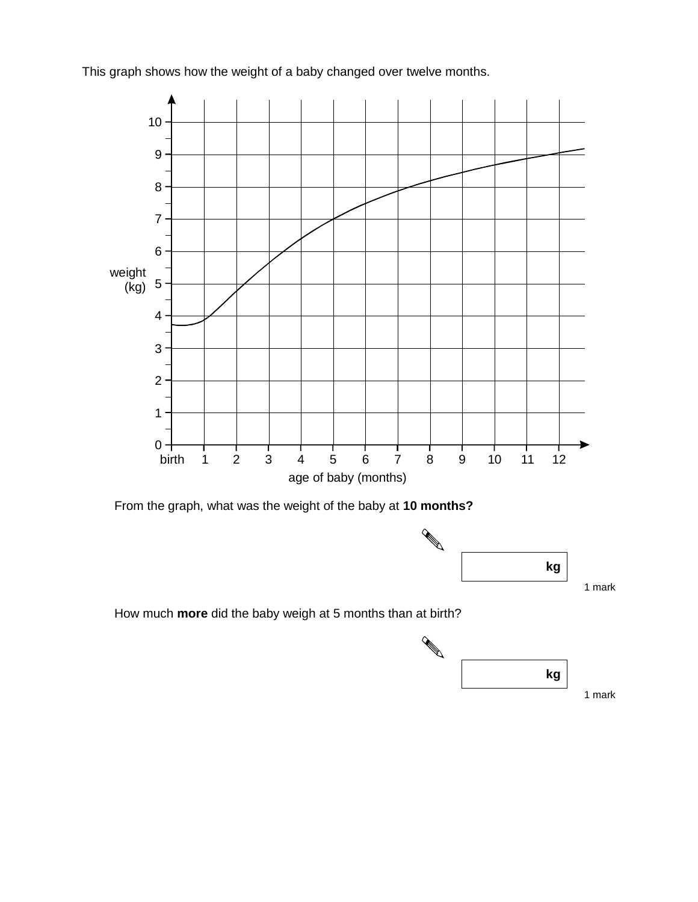This graph shows how the weight of a baby changed over twelve months.



From the graph, what was the weight of the baby at **10 months?**



1 mark

How much **more** did the baby weigh at 5 months than at birth?

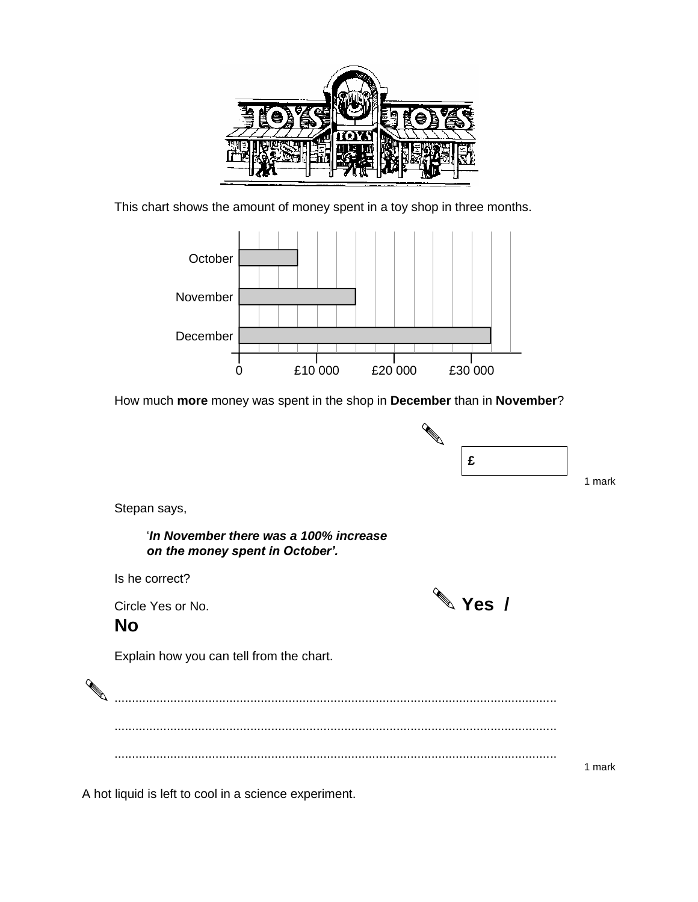

This chart shows the amount of money spent in a toy shop in three months.



How much **more** money was spent in the shop in **December** than in **November**?



1 mark

Stepan says,

'*In November there was a 100% increase* 



A hot liquid is left to cool in a science experiment.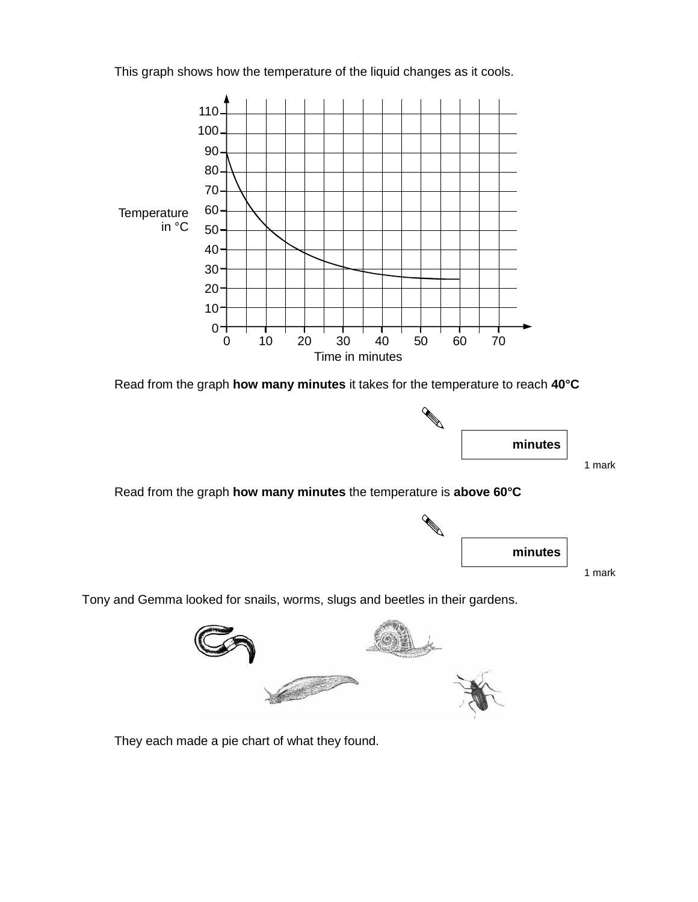This graph shows how the temperature of the liquid changes as it cools.



Read from the graph **how many minutes** it takes for the temperature to reach **40°C**



1 mark

Read from the graph **how many minutes** the temperature is **above 60°C**



1 mark

Tony and Gemma looked for snails, worms, slugs and beetles in their gardens.



They each made a pie chart of what they found.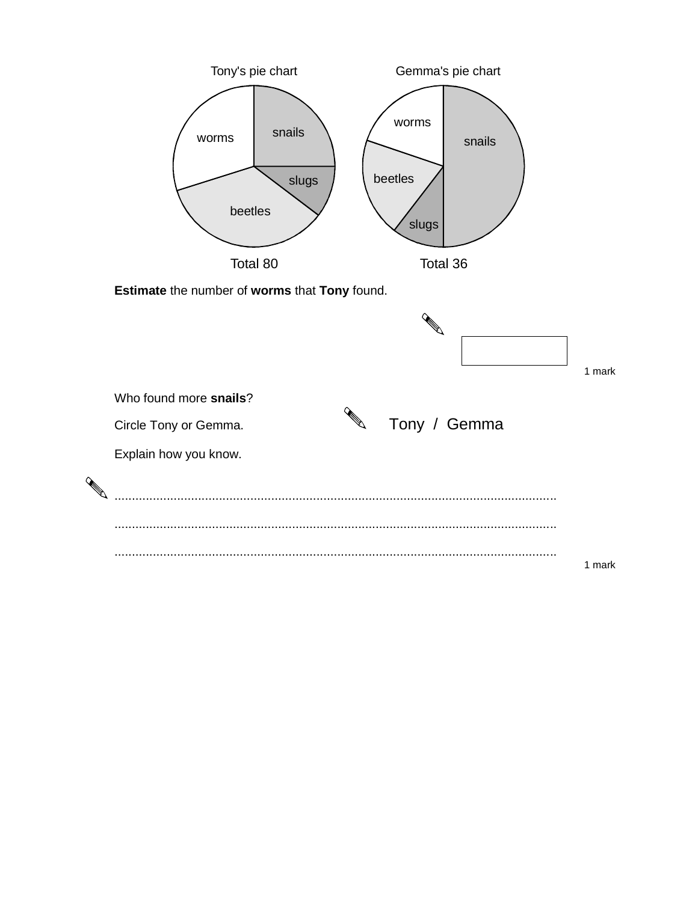